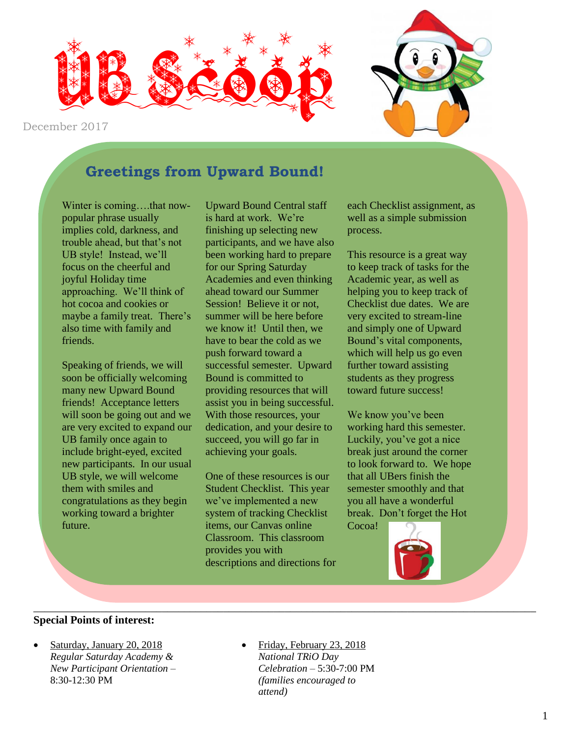

December 2017

### **Greetings from Upward Bound!**

Winter is coming....that nowpopular phrase usually implies cold, darkness, and trouble ahead, but that's not UB style! Instead, we'll focus on the cheerful and joyful Holiday time approaching. We'll think of hot cocoa and cookies or maybe a family treat. There's also time with family and friends.

Speaking of friends, we will soon be officially welcoming many new Upward Bound friends! Acceptance letters will soon be going out and we are very excited to expand our UB family once again to include bright-eyed, excited new participants. In our usual UB style, we will welcome them with smiles and congratulations as they begin working toward a brighter future.

Upward Bound Central staff is hard at work. We're finishing up selecting new participants, and we have also been working hard to prepare for our Spring Saturday Academies and even thinking ahead toward our Summer Session! Believe it or not, summer will be here before we know it! Until then, we have to bear the cold as we push forward toward a successful semester. Upward Bound is committed to providing resources that will assist you in being successful. With those resources, your dedication, and your desire to succeed, you will go far in achieving your goals.

One of these resources is our Student Checklist. This year we've implemented a new system of tracking Checklist items, our Canvas online Classroom. This classroom provides you with descriptions and directions for

\_\_\_\_\_\_\_\_\_\_\_\_\_\_\_\_\_\_\_\_\_\_\_\_\_\_\_\_\_\_\_\_\_\_\_\_\_\_\_\_\_\_\_\_\_\_\_\_\_\_\_\_\_\_\_\_\_\_\_\_\_\_\_\_\_\_\_\_\_\_\_\_\_\_\_\_\_\_\_\_\_\_\_\_\_\_\_\_\_\_

each Checklist assignment, as well as a simple submission process.

This resource is a great way to keep track of tasks for the Academic year, as well as helping you to keep track of Checklist due dates. We are very excited to stream-line and simply one of Upward Bound's vital components, which will help us go even further toward assisting students as they progress toward future success!

We know you've been working hard this semester. Luckily, you've got a nice break just around the corner to look forward to. We hope that all UBers finish the semester smoothly and that you all have a wonderful break. Don't forget the Hot

Cocoa!



#### **Special Points of interest:**

- Saturday, January 20, 2018 *Regular Saturday Academy & New Participant Orientation –* 8:30-12:30 PM
- Friday, February 23, 2018 *National TRiO Day Celebration –* 5:30-7:00 PM *(families encouraged to attend)*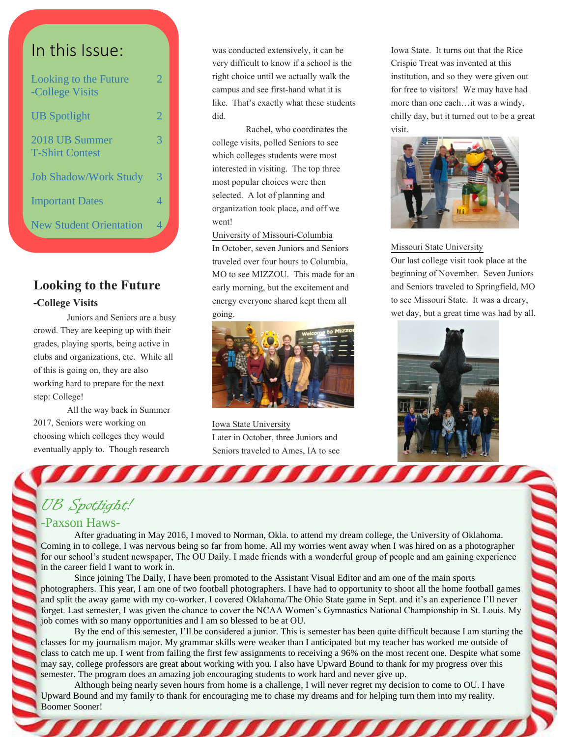# In this Issue:

| Looking to the Future<br>-College Visits | 2. |
|------------------------------------------|----|
| <b>UB</b> Spotlight                      | 2  |
| 2018 UB Summer<br><b>T-Shirt Contest</b> | 3  |
| <b>Job Shadow/Work Study</b>             | 3  |
| <b>Important Dates</b>                   | 4  |
| <b>New Student Orientation</b>           |    |

#### **Looking to the Future -College Visits**

Juniors and Seniors are a busy crowd. They are keeping up with their grades, playing sports, being active in clubs and organizations, etc. While all of this is going on, they are also working hard to prepare for the next step: College!

All the way back in Summer 2017, Seniors were working on choosing which colleges they would eventually apply to. Though research

was conducted extensively, it can be very difficult to know if a school is the right choice until we actually walk the campus and see first-hand what it is like. That's exactly what these students did.

Rachel, who coordinates the college visits, polled Seniors to see which colleges students were most interested in visiting. The top three most popular choices were then selected. A lot of planning and organization took place, and off we went!

University of Missouri-Columbia In October, seven Juniors and Seniors traveled over four hours to Columbia, MO to see MIZZOU. This made for an early morning, but the excitement and energy everyone shared kept them all going.



Iowa State University Later in October, three Juniors and Seniors traveled to Ames, IA to see

a a mara a mara

Iowa State. It turns out that the Rice Crispie Treat was invented at this institution, and so they were given out for free to visitors! We may have had more than one each…it was a windy, chilly day, but it turned out to be a great visit.



Missouri State University

Our last college visit took place at the beginning of November. Seven Juniors and Seniors traveled to Springfield, MO to see Missouri State. It was a dreary, wet day, but a great time was had by all.



# UB Spotlight!

#### -Paxson Haws-

After graduating in May 2016, I moved to Norman, Okla. to attend my dream college, the University of Oklahoma. Coming in to college, I was nervous being so far from home. All my worries went away when I was hired on as a photographer for our school's student newspaper, The OU Daily. I made friends with a wonderful group of people and am gaining experience in the career field I want to work in.

Since joining The Daily, I have been promoted to the Assistant Visual Editor and am one of the main sports photographers. This year, I am one of two football photographers. I have had to opportunity to shoot all the home football games and split the away game with my co-worker. I covered Oklahoma/The Ohio State game in Sept. and it's an experience I'll never forget. Last semester, I was given the chance to cover the NCAA Women's Gymnastics National Championship in St. Louis. My job comes with so many opportunities and I am so blessed to be at OU.

By the end of this semester, I'll be considered a junior. This is semester has been quite difficult because I am starting the classes for my journalism major. My grammar skills were weaker than I anticipated but my teacher has worked me outside of class to catch me up. I went from failing the first few assignments to receiving a 96% on the most recent one. Despite what some may say, college professors are great about working with you. I also have Upward Bound to thank for my progress over this semester. The program does an amazing job encouraging students to work hard and never give up.

Although being nearly seven hours from home is a challenge, I will never regret my decision to come to OU. I have Upward Bound and my family to thank for encouraging me to chase my dreams and for helping turn them into my reality. Boomer Sooner!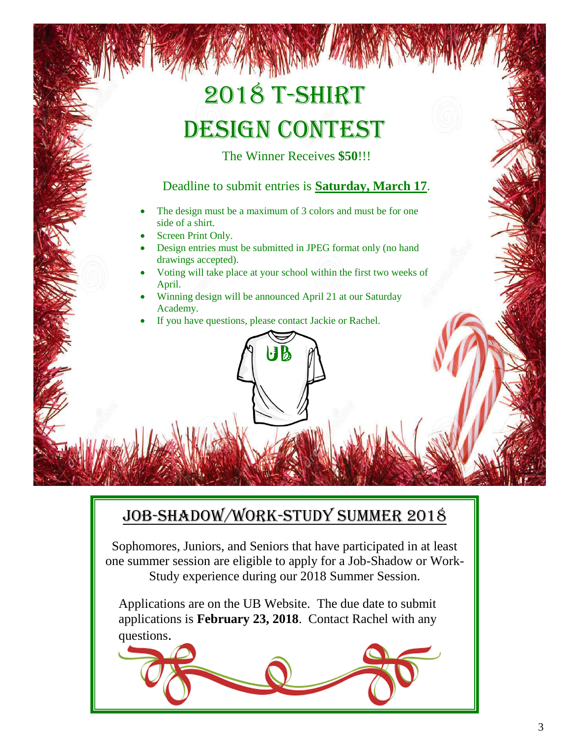# 2018 T-Shirt Design Contest

The Winner Receives **\$50**!!!

#### Deadline to submit entries is **Saturday, March 17**.

- The design must be a maximum of 3 colors and must be for one side of a shirt.
- Screen Print Only.
- Design entries must be submitted in JPEG format only (no hand drawings accepted).
- Voting will take place at your school within the first two weeks of April.
- Winning design will be announced April 21 at our Saturday Academy.

UB

If you have questions, please contact Jackie or Rachel.

# Job-Shadow/Work-Study Summer 2018

Sophomores, Juniors, and Seniors that have participated in at least one summer session are eligible to apply for a Job-Shadow or Work-Study experience during our 2018 Summer Session.

Applications are on the UB Website. The due date to submit applications is **February 23, 2018**. Contact Rachel with any questions.